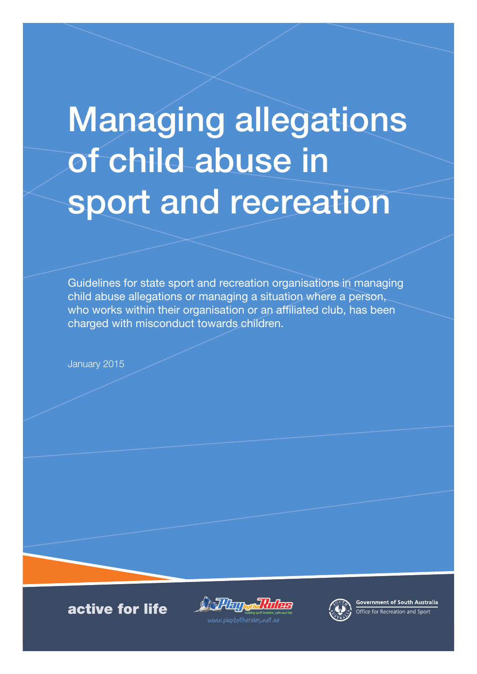# Managing allegations of child abuse in sport and recreation

Guidelines for state sport and recreation organisations in managing child abuse allegations or managing a situation where a person, who works within their organisation or an affiliated club, has been charged with misconduct towards children.

January 2015

active for life

**Contract Property** n]!/T/<del>PS</del>



Government of South Australia **Office for Recreation and Sport** 

.<br>www.blaybythervies.net.al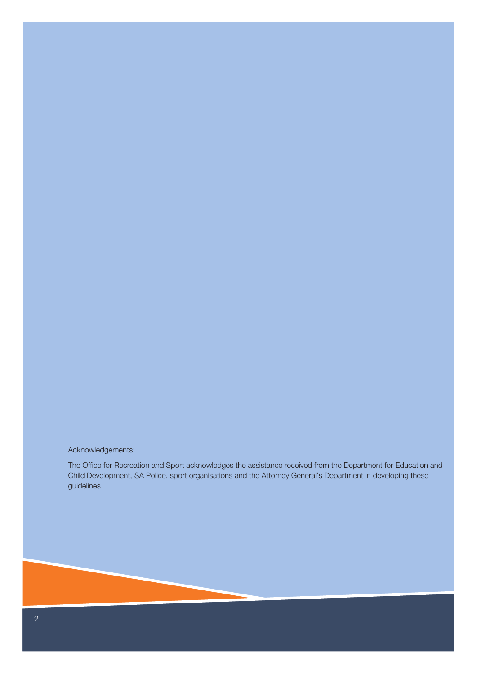#### Acknowledgements:

The Office for Recreation and Sport acknowledges the assistance received from the Department for Education and Child Development, SA Police, sport organisations and the Attorney General's Department in developing these guidelines.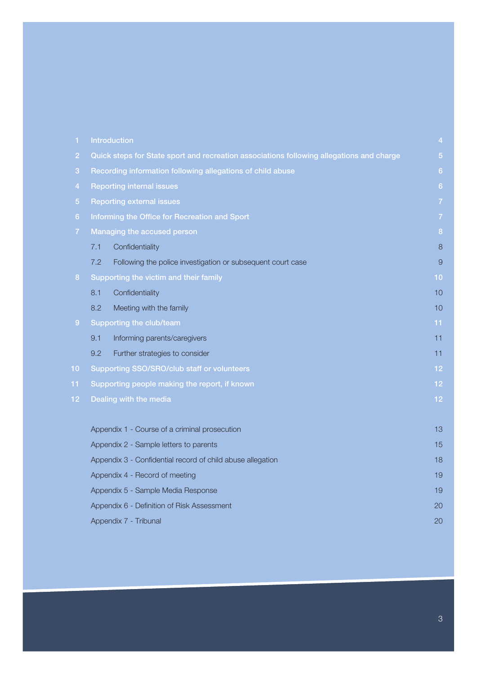| 1              |                                                                                          | Introduction                                                | $\overline{a}$ |  |
|----------------|------------------------------------------------------------------------------------------|-------------------------------------------------------------|----------------|--|
| $\overline{2}$ | Quick steps for State sport and recreation associations following allegations and charge |                                                             |                |  |
| 3              | Recording information following allegations of child abuse                               |                                                             |                |  |
| $\overline{4}$ | <b>Reporting internal issues</b>                                                         |                                                             |                |  |
| 5 <sub>5</sub> | <b>Reporting external issues</b>                                                         |                                                             |                |  |
| 6              | Informing the Office for Recreation and Sport                                            |                                                             |                |  |
| $\overline{7}$ | Managing the accused person                                                              |                                                             |                |  |
|                | 7.1                                                                                      | Confidentiality                                             | 8              |  |
|                | 7.2                                                                                      | Following the police investigation or subsequent court case | 9              |  |
| 8              | Supporting the victim and their family                                                   |                                                             |                |  |
|                | 8.1                                                                                      | Confidentiality                                             | 10             |  |
|                | 8.2                                                                                      | Meeting with the family                                     | 10             |  |
| 9 <sup>°</sup> | Supporting the club/team                                                                 |                                                             |                |  |
|                | 9.1                                                                                      | Informing parents/caregivers                                | 11             |  |
|                | 9.2                                                                                      | Further strategies to consider                              | 11             |  |
| 10             | Supporting SSO/SRO/club staff or volunteers                                              |                                                             |                |  |
| $11 \n$        | Supporting people making the report, if known                                            |                                                             |                |  |
| 12.            | Dealing with the media                                                                   |                                                             |                |  |
|                |                                                                                          |                                                             |                |  |
|                | Appendix 1 - Course of a criminal prosecution                                            |                                                             |                |  |
|                | Appendix 2 - Sample letters to parents                                                   |                                                             |                |  |
|                | Appendix 3 - Confidential record of child abuse allegation                               |                                                             |                |  |
|                | Appendix 4 - Record of meeting                                                           |                                                             |                |  |
|                | Appendix 5 - Sample Media Response                                                       |                                                             |                |  |
|                | Appendix 6 - Definition of Risk Assessment                                               |                                                             |                |  |
|                | Appendix 7 - Tribunal                                                                    |                                                             |                |  |

3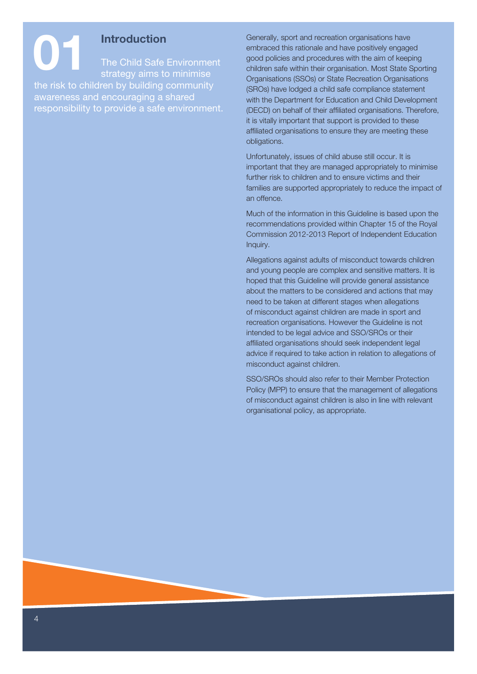**11 Introduction**<br>The Child Safe<br>strategy aims to The Child Safe Environment strategy aims to minimise the risk to children by building community awareness and encouraging a shared responsibility to provide a safe environment.

Generally, sport and recreation organisations have embraced this rationale and have positively engaged good policies and procedures with the aim of keeping children safe within their organisation. Most State Sporting Organisations (SSOs) or State Recreation Organisations (SROs) have lodged a child safe compliance statement with the Department for Education and Child Development (DECD) on behalf of their affiliated organisations. Therefore, it is vitally important that support is provided to these affiliated organisations to ensure they are meeting these obligations.

Unfortunately, issues of child abuse still occur. It is important that they are managed appropriately to minimise further risk to children and to ensure victims and their families are supported appropriately to reduce the impact of an offence.

Much of the information in this Guideline is based upon the recommendations provided within Chapter 15 of the Royal Commission 2012-2013 Report of Independent Education Inquiry.

Allegations against adults of misconduct towards children and young people are complex and sensitive matters. It is hoped that this Guideline will provide general assistance about the matters to be considered and actions that may need to be taken at different stages when allegations of misconduct against children are made in sport and recreation organisations. However the Guideline is not intended to be legal advice and SSO/SROs or their affiliated organisations should seek independent legal advice if required to take action in relation to allegations of misconduct against children.

SSO/SROs should also refer to their Member Protection Policy (MPP) to ensure that the management of allegations of misconduct against children is also in line with relevant organisational policy, as appropriate.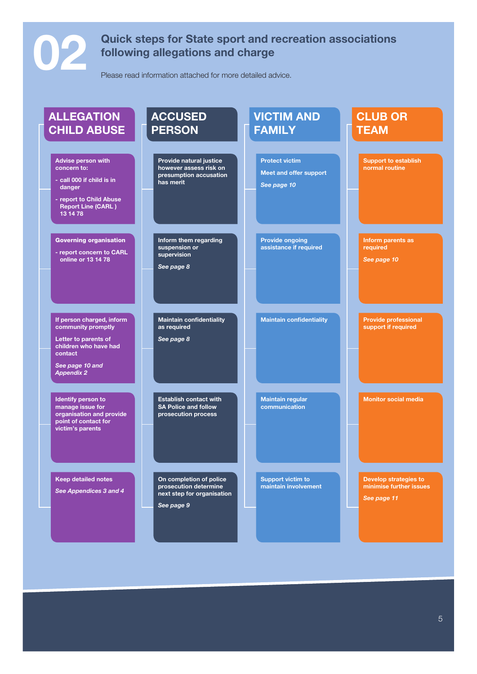# **02 Quick steps for State sport and recreation associations following allegations and charge**

Please read information attached for more detailed advice.

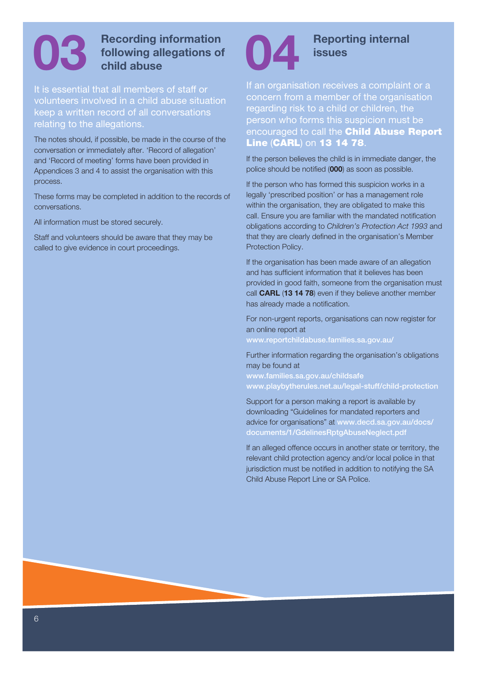# **03 Recording information** following allegations of child abuse **following allegations of child abuse**

It is essential that all members of staff or volunteers involved in a child abuse situation keep a written record of all conversations relating to the allegations.

The notes should, if possible, be made in the course of the conversation or immediately after. 'Record of allegation' and 'Record of meeting' forms have been provided in Appendices 3 and 4 to assist the organisation with this process.

These forms may be completed in addition to the records of conversations.

All information must be stored securely.

Staff and volunteers should be aware that they may be called to give evidence in court proceedings.



# **04 Reporting internal issues**

If an organisation receives a complaint or a concern from a member of the organisation regarding risk to a child or children, the person who forms this suspicion must be encouraged to call the **Child Abuse Report Line (CARL) on 13 14 78.** 

If the person believes the child is in immediate danger, the police should be notified (**000**) as soon as possible.

If the person who has formed this suspicion works in a legally 'prescribed position' or has a management role within the organisation, they are obligated to make this call. Ensure you are familiar with the mandated notification obligations according to *Children's Protection Act 1993* and that they are clearly defined in the organisation's Member Protection Policy.

If the organisation has been made aware of an allegation and has sufficient information that it believes has been provided in good faith, someone from the organisation must call **CARL** (**13 14 78**) even if they believe another member has already made a notification.

For non-urgent reports, organisations can now register for an online report at

www.reportchildabuse.families.sa.gov.au/

Further information regarding the organisation's obligations may be found at

www.families.sa.gov.au/childsafe www.playbytherules.net.au/legal-stuff/child-protection

Support for a person making a report is available by downloading "Guidelines for mandated reporters and advice for organisations" at www.decd.sa.gov.au/docs/ documents/1/GdelinesRptgAbuseNeglect.pdf

If an alleged offence occurs in another state or territory, the relevant child protection agency and/or local police in that jurisdiction must be notified in addition to notifying the SA Child Abuse Report Line or SA Police.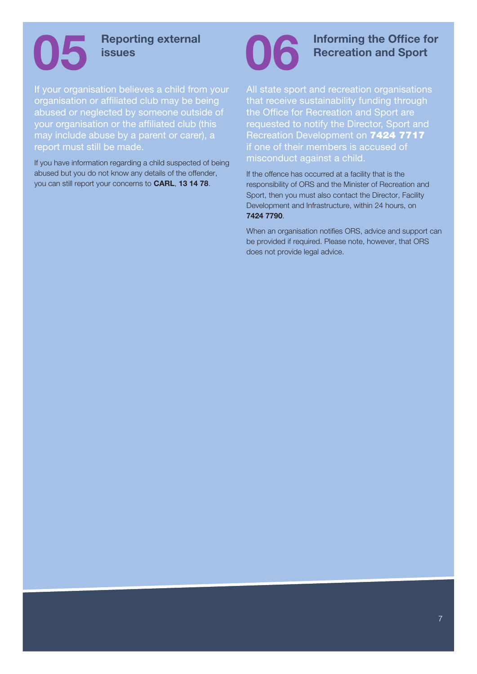

## **05 Reporting external issues**

If your organisation believes a child from your organisation or affiliated club may be being abused or neglected by someone outside of your organisation or the affiliated club (this may include abuse by a parent or carer), a report must still be made.

If you have information regarding a child suspected of being abused but you do not know any details of the offender, you can still report your concerns to **CARL**, **13 14 78**.



**Informing the Office for Recreation and Sport**

All state sport and recreation organisations that receive sustainability funding through the Office for Recreation and Sport are requested to notify the Director, Sport and Recreation Development on 7424 7717 if one of their members is accused of misconduct against a child.

If the offence has occurred at a facility that is the responsibility of ORS and the Minister of Recreation and Sport, then you must also contact the Director, Facility Development and Infrastructure, within 24 hours, on **7424 7790**.

When an organisation notifies ORS, advice and support can be provided if required. Please note, however, that ORS does not provide legal advice.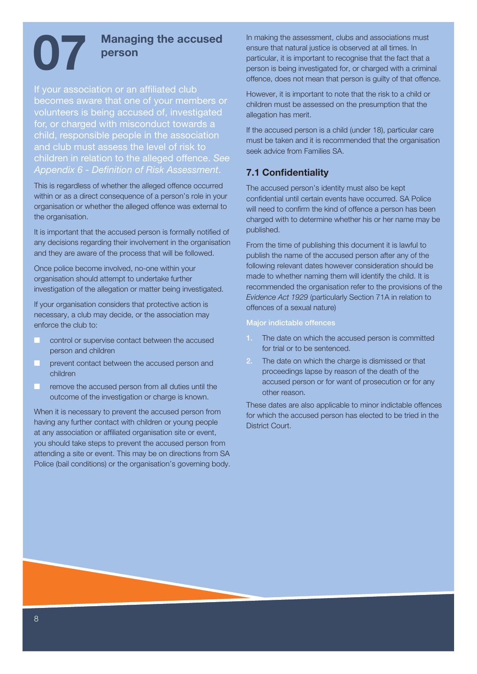# **07** Managing the accused person **person**

If your association or an affiliated club becomes aware that one of your members or volunteers is being accused of, investigated for, or charged with misconduct towards a child, responsible people in the association and club must assess the level of risk to children in relation to the alleged offence. *See Appendix 6 - Definition of Risk Assessment*.

This is regardless of whether the alleged offence occurred within or as a direct consequence of a person's role in your organisation or whether the alleged offence was external to the organisation.

It is important that the accused person is formally notified of any decisions regarding their involvement in the organisation and they are aware of the process that will be followed.

Once police become involved, no-one within your organisation should attempt to undertake further investigation of the allegation or matter being investigated.

If your organisation considers that protective action is necessary, a club may decide, or the association may enforce the club to:

- **COLLECTE CONTROL CONTROL CONTROL** control or supervise contact between the accused person and children
- prevent contact between the accused person and children
- remove the accused person from all duties until the outcome of the investigation or charge is known.

When it is necessary to prevent the accused person from having any further contact with children or young people at any association or affiliated organisation site or event, you should take steps to prevent the accused person from attending a site or event. This may be on directions from SA Police (bail conditions) or the organisation's governing body. In making the assessment, clubs and associations must ensure that natural justice is observed at all times. In particular, it is important to recognise that the fact that a person is being investigated for, or charged with a criminal offence, does not mean that person is guilty of that offence.

However, it is important to note that the risk to a child or children must be assessed on the presumption that the allegation has merit.

If the accused person is a child (under 18), particular care must be taken and it is recommended that the organisation seek advice from Families SA.

#### **7.1 Confidentiality**

The accused person's identity must also be kept confidential until certain events have occurred. SA Police will need to confirm the kind of offence a person has been charged with to determine whether his or her name may be published.

From the time of publishing this document it is lawful to publish the name of the accused person after any of the following relevant dates however consideration should be made to whether naming them will identify the child. It is recommended the organisation refer to the provisions of the *Evidence Act 1929* (particularly Section 71A in relation to offences of a sexual nature)

#### Major indictable offences

- 1. The date on which the accused person is committed for trial or to be sentenced.
- 2. The date on which the charge is dismissed or that proceedings lapse by reason of the death of the accused person or for want of prosecution or for any other reason.

These dates are also applicable to minor indictable offences for which the accused person has elected to be tried in the District Court.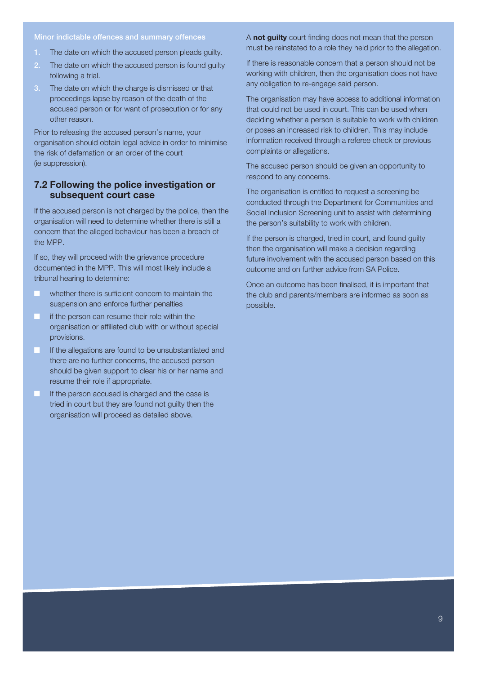#### Minor indictable offences and summary offences

- 1. The date on which the accused person pleads guilty.
- 2. The date on which the accused person is found guilty following a trial.
- 3. The date on which the charge is dismissed or that proceedings lapse by reason of the death of the accused person or for want of prosecution or for any other reason.

Prior to releasing the accused person's name, your organisation should obtain legal advice in order to minimise the risk of defamation or an order of the court (ie suppression).

#### **7.2 Following the police investigation or subsequent court case**

If the accused person is not charged by the police, then the organisation will need to determine whether there is still a concern that the alleged behaviour has been a breach of the MPP.

If so, they will proceed with the grievance procedure documented in the MPP. This will most likely include a tribunal hearing to determine:

- **The whether there is sufficient concern to maintain the** suspension and enforce further penalties
- **The if the person can resume their role within the** organisation or affiliated club with or without special provisions.
- **The If the allegations are found to be unsubstantiated and** there are no further concerns, the accused person should be given support to clear his or her name and resume their role if appropriate.
- **If the person accused is charged and the case is** tried in court but they are found not guilty then the organisation will proceed as detailed above.

A **not guilty** court finding does not mean that the person must be reinstated to a role they held prior to the allegation.

If there is reasonable concern that a person should not be working with children, then the organisation does not have any obligation to re-engage said person.

The organisation may have access to additional information that could not be used in court. This can be used when deciding whether a person is suitable to work with children or poses an increased risk to children. This may include information received through a referee check or previous complaints or allegations.

The accused person should be given an opportunity to respond to any concerns.

The organisation is entitled to request a screening be conducted through the Department for Communities and Social Inclusion Screening unit to assist with determining the person's suitability to work with children.

If the person is charged, tried in court, and found guilty then the organisation will make a decision regarding future involvement with the accused person based on this outcome and on further advice from SA Police.

Once an outcome has been finalised, it is important that the club and parents/members are informed as soon as possible.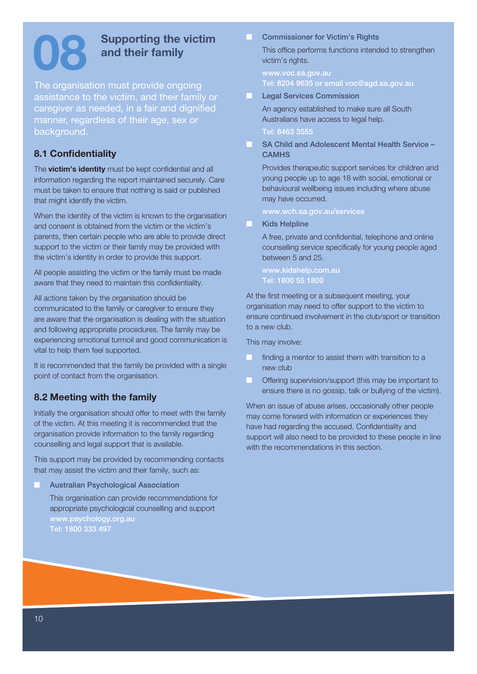# **08 Supporting the victim and their family**

The organisation must provide ongoing assistance to the victim, and their family or caregiver as needed, in a fair and dignified manner, regardless of their age, sex or background.

#### **8.1 Confidentiality**

The **victim's identity** must be kept confidential and all information regarding the report maintained securely. Care must be taken to ensure that nothing is said or published that might identify the victim.

When the identity of the victim is known to the organisation and consent is obtained from the victim or the victim's parents, then certain people who are able to provide direct support to the victim or their family may be provided with the victim's identity in order to provide this support.

All people assisting the victim or the family must be made aware that they need to maintain this confidentiality.

All actions taken by the organisation should be communicated to the family or caregiver to ensure they are aware that the organisation is dealing with the situation and following appropriate procedures. The family may be experiencing emotional turmoil and good communication is vital to help them feel supported.

It is recommended that the family be provided with a single point of contact from the organisation.

### **8.2 Meeting with the family**

Initially the organisation should offer to meet with the family of the victim. At this meeting it is recommended that the organisation provide information to the family regarding counselling and legal support that is available.

This support may be provided by recommending contacts that may assist the victim and their family, such as:

Australian Psychological Association

This organisation can provide recommendations for appropriate psychological counselling and support www.psychology.org.au Tel: 1800 333 497

#### **Commissioner for Victim's Rights**

This office performs functions intended to strengthen victim's rights.

www.voc.sa.gov.au Tel: 8204 9635 or email voc@agd.sa.gov.au

**Legal Services Commission** 

An agency established to make sure all South Australians have access to legal help.

#### Tel: 8463 3555

SA Child and Adolescent Mental Health Service – **CAMHS** 

Provides therapeutic support services for children and young people up to age 18 with social, emotional or behavioural wellbeing issues including where abuse may have occurred.

www.wch.sa.gov.au/services

**Kids Helpline** 

A free, private and confidential, telephone and online counselling service specifically for young people aged between 5 and 25.

www.kidshelp.com.au Tel: 1800 55 1800

At the first meeting or a subsequent meeting, your organisation may need to offer support to the victim to ensure continued involvement in the club/sport or transition to a new club.

This may involve:

- finding a mentor to assist them with transition to a new club
- Offering supervision/support (this may be important to ensure there is no gossip, talk or bullying of the victim).

When an issue of abuse arises, occasionally other people may come forward with information or experiences they have had regarding the accused. Confidentiality and support will also need to be provided to these people in line with the recommendations in this section.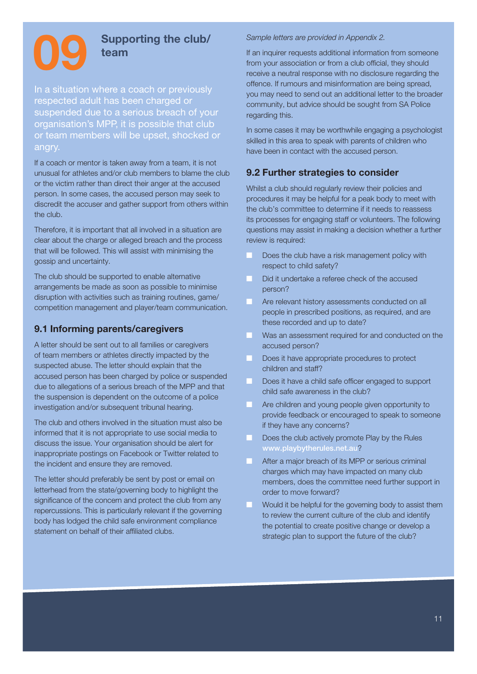

#### **09 Supporting the club/ team**

In a situation where a coach or previously respected adult has been charged or suspended due to a serious breach of your organisation's MPP, it is possible that club or team members will be upset, shocked or angry.

If a coach or mentor is taken away from a team, it is not unusual for athletes and/or club members to blame the club or the victim rather than direct their anger at the accused person. In some cases, the accused person may seek to discredit the accuser and gather support from others within the club.

Therefore, it is important that all involved in a situation are clear about the charge or alleged breach and the process that will be followed. This will assist with minimising the gossip and uncertainty.

The club should be supported to enable alternative arrangements be made as soon as possible to minimise disruption with activities such as training routines, game/ competition management and player/team communication.

#### **9.1 Informing parents/caregivers**

A letter should be sent out to all families or caregivers of team members or athletes directly impacted by the suspected abuse. The letter should explain that the accused person has been charged by police or suspended due to allegations of a serious breach of the MPP and that the suspension is dependent on the outcome of a police investigation and/or subsequent tribunal hearing.

The club and others involved in the situation must also be informed that it is not appropriate to use social media to discuss the issue. Your organisation should be alert for inappropriate postings on Facebook or Twitter related to the incident and ensure they are removed.

The letter should preferably be sent by post or email on letterhead from the state/governing body to highlight the significance of the concern and protect the club from any repercussions. This is particularly relevant if the governing body has lodged the child safe environment compliance statement on behalf of their affiliated clubs.

#### *Sample letters are provided in Appendix 2.*

If an inquirer requests additional information from someone from your association or from a club official, they should receive a neutral response with no disclosure regarding the offence. If rumours and misinformation are being spread, you may need to send out an additional letter to the broader community, but advice should be sought from SA Police regarding this.

In some cases it may be worthwhile engaging a psychologist skilled in this area to speak with parents of children who have been in contact with the accused person.

#### **9.2 Further strategies to consider**

Whilst a club should regularly review their policies and procedures it may be helpful for a peak body to meet with the club's committee to determine if it needs to reassess its processes for engaging staff or volunteers. The following questions may assist in making a decision whether a further review is required:

- Does the club have a risk management policy with respect to child safety?
- Did it undertake a referee check of the accused person?
- Are relevant history assessments conducted on all people in prescribed positions, as required, and are these recorded and up to date?
- Was an assessment required for and conducted on the accused person?
- Does it have appropriate procedures to protect children and staff?
- Does it have a child safe officer engaged to support child safe awareness in the club?
- Are children and young people given opportunity to provide feedback or encouraged to speak to someone if they have any concerns?
- Does the club actively promote Play by the Rules www.playbytherules.net.au?
- After a major breach of its MPP or serious criminal charges which may have impacted on many club members, does the committee need further support in order to move forward?
- Would it be helpful for the governing body to assist them to review the current culture of the club and identify the potential to create positive change or develop a strategic plan to support the future of the club?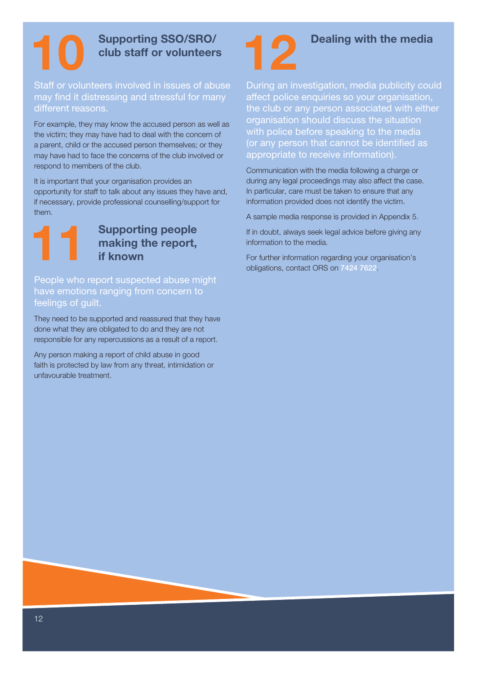

# **10** Supporting SSO/SRO/<br>club staff or volunteer **club staff or volunteers**

Staff or volunteers involved in issues of abuse may find it distressing and stressful for many different reasons.

For example, they may know the accused person as well as the victim; they may have had to deal with the concern of a parent, child or the accused person themselves; or they may have had to face the concerns of the club involved or respond to members of the club.

It is important that your organisation provides an opportunity for staff to talk about any issues they have and, if necessary, provide professional counselling/support for them.



# **11 11 Supporting people making the report, if known making the report, if known**

People who report suspected abuse might have emotions ranging from concern to feelings of guilt.

They need to be supported and reassured that they have done what they are obligated to do and they are not responsible for any repercussions as a result of a report.

Any person making a report of child abuse in good faith is protected by law from any threat, intimidation or unfavourable treatment.



## **12 Dealing with the media**

During an investigation, media publicity could affect police enquiries so your organisation, the club or any person associated with either organisation should discuss the situation with police before speaking to the media (or any person that cannot be identified as appropriate to receive information).

Communication with the media following a charge or during any legal proceedings may also affect the case. In particular, care must be taken to ensure that any information provided does not identify the victim.

A sample media response is provided in Appendix 5.

If in doubt, always seek legal advice before giving any information to the media.

For further information regarding your organisation's obligations, contact ORS on 7424 7622.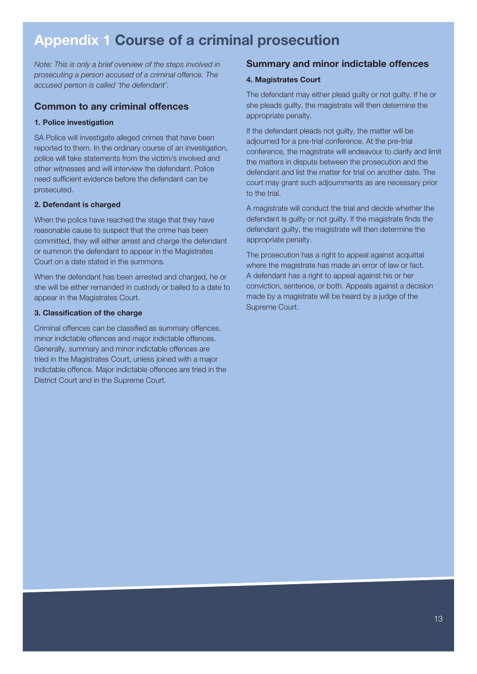# **Appendix 1 Course of a criminal prosecution**

*Note: This is only a brief overview of the steps involved in prosecuting a person accused of a criminal offence. The accused person is called 'the defendant'.* 

#### **Common to any criminal offences**

#### **1. Police investigation**

SA Police will investigate alleged crimes that have been reported to them. In the ordinary course of an investigation, police will take statements from the victim/s involved and other witnesses and will interview the defendant. Police need sufficient evidence before the defendant can be prosecuted.

#### **2. Defendant is charged**

When the police have reached the stage that they have reasonable cause to suspect that the crime has been committed, they will either arrest and charge the defendant or summon the defendant to appear in the Magistrates Court on a date stated in the summons.

When the defendant has been arrested and charged, he or she will be either remanded in custody or bailed to a date to appear in the Magistrates Court.

#### **3. Classification of the charge**

Criminal offences can be classified as summary offences, minor indictable offences and major indictable offences. Generally, summary and minor indictable offences are tried in the Magistrates Court, unless joined with a major indictable offence. Major indictable offences are tried in the District Court and in the Supreme Court.

#### **Summary and minor indictable offences**

#### **4. Magistrates Court**

The defendant may either plead guilty or not guilty. If he or she pleads guilty, the magistrate will then determine the appropriate penalty.

If the defendant pleads not guilty, the matter will be adjourned for a pre-trial conference. At the pre-trial conference, the magistrate will endeavour to clarify and limit the matters in dispute between the prosecution and the defendant and list the matter for trial on another date. The court may grant such adjournments as are necessary prior to the trial.

A magistrate will conduct the trial and decide whether the defendant is guilty or not guilty. If the magistrate finds the defendant guilty, the magistrate will then determine the appropriate penalty.

The prosecution has a right to appeal against acquittal where the magistrate has made an error of law or fact. A defendant has a right to appeal against his or her conviction, sentence, or both. Appeals against a decision made by a magistrate will be heard by a judge of the Supreme Court.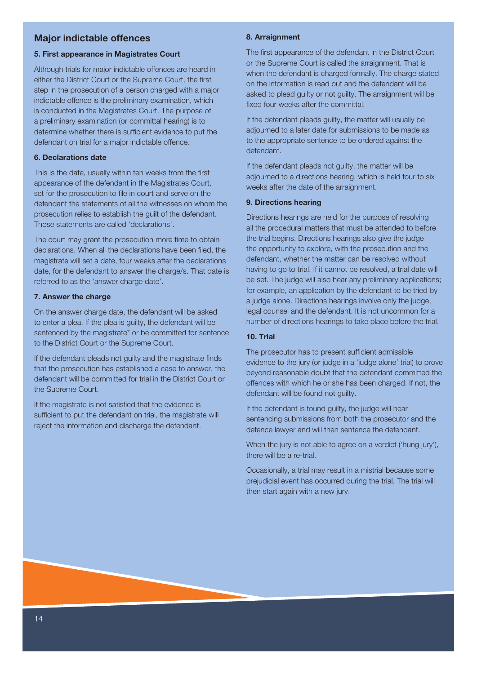#### **Major indictable offences**

#### **5. First appearance in Magistrates Court**

Although trials for major indictable offences are heard in either the District Court or the Supreme Court, the first step in the prosecution of a person charged with a major indictable offence is the preliminary examination, which is conducted in the Magistrates Court. The purpose of a preliminary examination (or committal hearing) is to determine whether there is sufficient evidence to put the defendant on trial for a major indictable offence.

#### **6. Declarations date**

This is the date, usually within ten weeks from the first appearance of the defendant in the Magistrates Court, set for the prosecution to file in court and serve on the defendant the statements of all the witnesses on whom the prosecution relies to establish the guilt of the defendant. Those statements are called 'declarations'.

The court may grant the prosecution more time to obtain declarations. When all the declarations have been filed, the magistrate will set a date, four weeks after the declarations date, for the defendant to answer the charge/s. That date is referred to as the 'answer charge date'.

#### **7. Answer the charge**

On the answer charge date, the defendant will be asked to enter a plea. If the plea is guilty, the defendant will be sentenced by the magistrate\* or be committed for sentence to the District Court or the Supreme Court.

If the defendant pleads not guilty and the magistrate finds that the prosecution has established a case to answer, the defendant will be committed for trial in the District Court or the Supreme Court.

If the magistrate is not satisfied that the evidence is sufficient to put the defendant on trial, the magistrate will reject the information and discharge the defendant.

#### **8. Arraignment**

The first appearance of the defendant in the District Court or the Supreme Court is called the arraignment. That is when the defendant is charged formally. The charge stated on the information is read out and the defendant will be asked to plead guilty or not guilty. The arraignment will be fixed four weeks after the committal.

If the defendant pleads guilty, the matter will usually be adjourned to a later date for submissions to be made as to the appropriate sentence to be ordered against the defendant.

If the defendant pleads not quilty, the matter will be adjourned to a directions hearing, which is held four to six weeks after the date of the arraignment.

#### **9. Directions hearing**

Directions hearings are held for the purpose of resolving all the procedural matters that must be attended to before the trial begins. Directions hearings also give the judge the opportunity to explore, with the prosecution and the defendant, whether the matter can be resolved without having to go to trial. If it cannot be resolved, a trial date will be set. The judge will also hear any preliminary applications; for example, an application by the defendant to be tried by a judge alone. Directions hearings involve only the judge, legal counsel and the defendant. It is not uncommon for a number of directions hearings to take place before the trial.

#### **10. Trial**

The prosecutor has to present sufficient admissible evidence to the jury (or judge in a 'judge alone' trial) to prove beyond reasonable doubt that the defendant committed the offences with which he or she has been charged. If not, the defendant will be found not guilty.

If the defendant is found guilty, the judge will hear sentencing submissions from both the prosecutor and the defence lawyer and will then sentence the defendant.

When the jury is not able to agree on a verdict ('hung jury'), there will be a re-trial.

Occasionally, a trial may result in a mistrial because some prejudicial event has occurred during the trial. The trial will then start again with a new jury.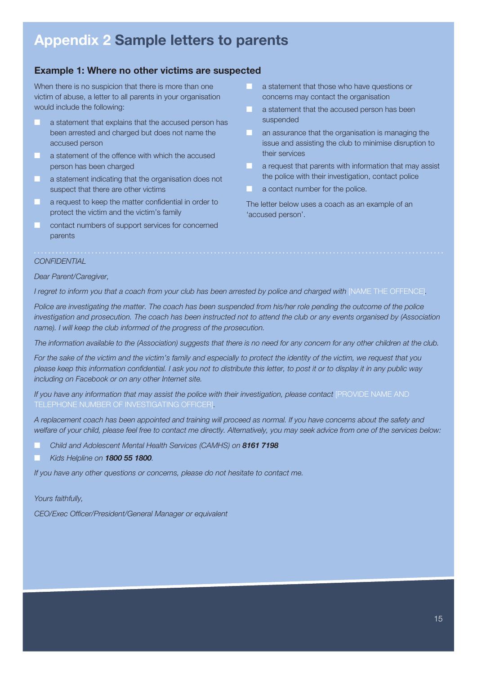# **Appendix 2 Sample letters to parents**

#### **Example 1: Where no other victims are suspected**

When there is no suspicion that there is more than one victim of abuse, a letter to all parents in your organisation would include the following:

- a statement that explains that the accused person has been arrested and charged but does not name the accused person
- **Q a** statement of the offence with which the accused person has been charged
- **Q** a statement indicating that the organisation does not suspect that there are other victims
- a request to keep the matter confidential in order to protect the victim and the victim's family
- contact numbers of support services for concerned parents
- a statement that those who have questions or concerns may contact the organisation
- **Q** a statement that the accused person has been suspended
- **Q an assurance that the organisation is managing the** issue and assisting the club to minimise disruption to their services
- a request that parents with information that may assist the police with their investigation, contact police
- a contact number for the police.

The letter below uses a coach as an example of an 'accused person'.

#### *CONFIDENTIAL*

#### *Dear Parent/Caregiver,*

*I* regret to inform you that a coach from your club has been arrested by police and charged with [NAME THE OFFENCE].

*Police are investigating the matter. The coach has been suspended from his/her role pending the outcome of the police investigation and prosecution. The coach has been instructed not to attend the club or any events organised by (Association name). I will keep the club informed of the progress of the prosecution.* 

*The information available to the (Association) suggests that there is no need for any concern for any other children at the club.*

*For the sake of the victim and the victim's family and especially to protect the identity of the victim, we request that you please keep this information confidential. I ask you not to distribute this letter, to post it or to display it in any public way including on Facebook or on any other Internet site.* 

*If you have any information that may assist the police with their investigation, please contact [PROVIDE NAME AND* TELEPHONE NUMBER OF INVESTIGATING OFFICER]*.* 

*A replacement coach has been appointed and training will proceed as normal. If you have concerns about the safety and welfare of your child, please feel free to contact me directly. Alternatively, you may seek advice from one of the services below:*

- Q *Child and Adolescent Mental Health Services (CAMHS) on 8161 7198*
- Q *Kids Helpline on 1800 55 1800.*

*If you have any other questions or concerns, please do not hesitate to contact me.* 

#### *Yours faithfully,*

*CEO/Exec Officer/President/General Manager or equivalent*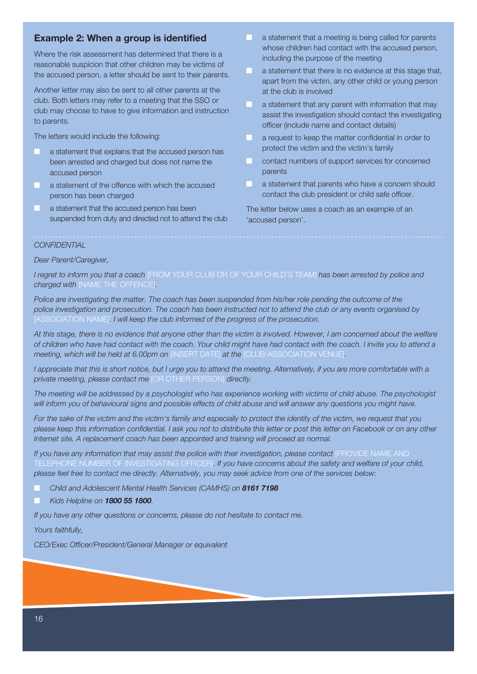#### **Example 2: When a group is identified**

Where the risk assessment has determined that there is a reasonable suspicion that other children may be victims of the accused person, a letter should be sent to their parents.

Another letter may also be sent to all other parents at the club. Both letters may refer to a meeting that the SSO or club may choose to have to give information and instruction to parents.

The letters would include the following:

- a statement that explains that the accused person has been arrested and charged but does not name the accused person
- a statement of the offence with which the accused person has been charged
- a statement that the accused person has been suspended from duty and directed not to attend the club
- a statement that a meeting is being called for parents whose children had contact with the accused person, including the purpose of the meeting
- a statement that there is no evidence at this stage that, apart from the victim, any other child or young person at the club is involved
- **Q a statement that any parent with information that may** assist the investigation should contact the investigating officer (include name and contact details)
- a request to keep the matter confidential in order to protect the victim and the victim's family
- contact numbers of support services for concerned parents
- a statement that parents who have a concern should contact the club president or child safe officer.

The letter below uses a coach as an example of an 'accused person'.

#### *CONFIDENTIAL*

*Dear Parent/Caregiver,* 

*I regret to inform you that a coach* [FROM YOUR CLUB OR OF YOUR CHILD'S TEAM] *has been arrested by police and charged with* [NAME THE OFFENCE]*.* 

*Police are investigating the matter. The coach has been suspended from his/her role pending the outcome of the police investigation and prosecution. The coach has been instructed not to attend the club or any events organised by*  [ASSOCIATION NAME]. I will keep the club informed of the progress of the prosecution.

*At this stage, there is no evidence that anyone other than the victim is involved. However, I am concerned about the welfare of children who have had contact with the coach. Your child might have had contact with the coach. I invite you to attend a meeting, which will be held at 6.00pm on* [INSERT DATE] *at the* [CLUB/ASSOCIATION VENUE]*.* 

*I appreciate that this is short notice, but I urge you to attend the meeting. Alternatively, if you are more comfortable with a private meeting, please contact me* [OR OTHER PERSON] *directly.* 

*The meeting will be addressed by a psychologist who has experience working with victims of child abuse. The psychologist will inform you of behavioural signs and possible effects of child abuse and will answer any questions you might have.* 

*For the sake of the victim and the victim's family and especially to protect the identity of the victim, we request that you please keep this information confidential. I ask you not to distribute this letter or post this letter on Facebook or on any other Internet site. A replacement coach has been appointed and training will proceed as normal.* 

*If you have any information that may assist the police with their investigation, please contact [PROVIDE NAME AND* TELEPHONE NUMBER OF INVESTIGATING OFFICER]*. If you have concerns about the safety and welfare of your child, please feel free to contact me directly. Alternatively, you may seek advice from one of the services below:* 

Q *Child and Adolescent Mental Health Services (CAMHS) on 8161 7198*

Q *Kids Helpline on 1800 55 1800.* 

*If you have any other questions or concerns, please do not hesitate to contact me.* 

*Yours faithfully,*

*CEO/Exec Officer/President/General Manager or equivalent*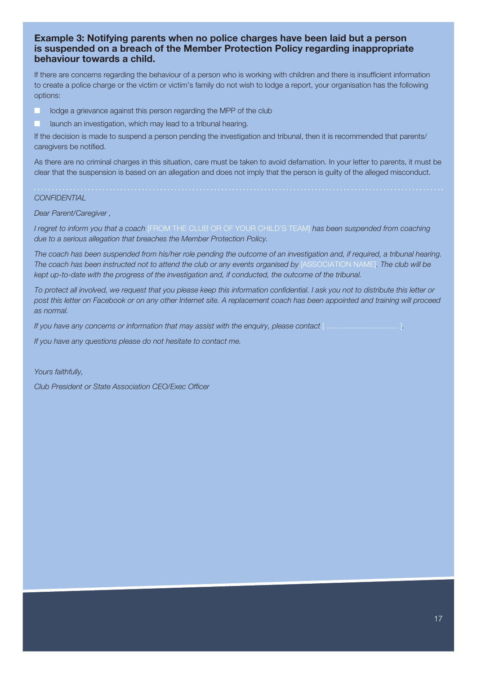#### **Example 3: Notifying parents when no police charges have been laid but a person is suspended on a breach of the Member Protection Policy regarding inappropriate behaviour towards a child.**

If there are concerns regarding the behaviour of a person who is working with children and there is insufficient information to create a police charge or the victim or victim's family do not wish to lodge a report, your organisation has the following options:

- **Lodge a grievance against this person regarding the MPP of the club**
- launch an investigation, which may lead to a tribunal hearing.

If the decision is made to suspend a person pending the investigation and tribunal, then it is recommended that parents/ caregivers be notified.

As there are no criminal charges in this situation, care must be taken to avoid defamation. In your letter to parents, it must be clear that the suspension is based on an allegation and does not imply that the person is guilty of the alleged misconduct.

#### *CONFIDENTIAL*

#### *Dear Parent/Caregiver ,*

*I regret to inform you that a coach* [FROM THE CLUB OR OF YOUR CHILD'S TEAM] *has been suspended from coaching due to a serious allegation that breaches the Member Protection Policy.* 

*The coach has been suspended from his/her role pending the outcome of an investigation and, if required, a tribunal hearing. The coach has been instructed not to attend the club or any events organised by* [ASSOCIATION NAME]*. The club will be kept up-to-date with the progress of the investigation and, if conducted, the outcome of the tribunal.* 

*To protect all involved, we request that you please keep this information confidential. I ask you not to distribute this letter or post this letter on Facebook or on any other Internet site. A replacement coach has been appointed and training will proceed as normal.* 

*If you have any concerns or information that may assist with the enquiry, please contact* [ .................................. ]*.* 

*If you have any questions please do not hesitate to contact me.* 

*Yours faithfully,*

*Club President or State Association CEO/Exec Officer*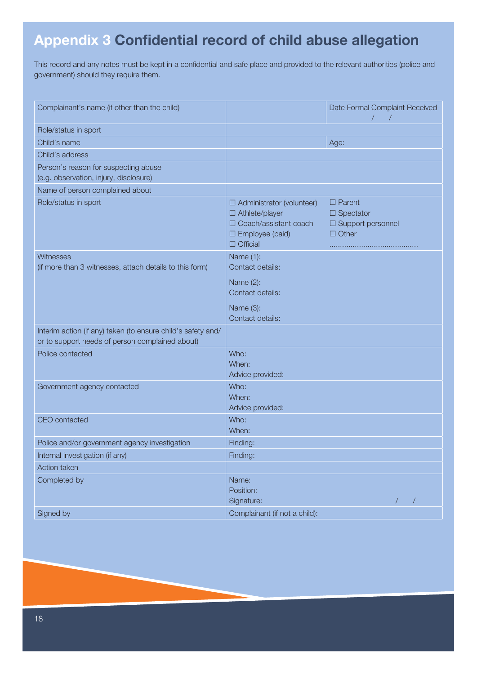# **Appendix 3 Confidential record of child abuse allegation**

This record and any notes must be kept in a confidential and safe place and provided to the relevant authorities (police and government) should they require them.

| Complainant's name (if other than the child)                                                                    |                                                                                                                              | Date Formal Complaint Received<br>$\sqrt{2}$                             |
|-----------------------------------------------------------------------------------------------------------------|------------------------------------------------------------------------------------------------------------------------------|--------------------------------------------------------------------------|
| Role/status in sport                                                                                            |                                                                                                                              |                                                                          |
| Child's name                                                                                                    |                                                                                                                              | Age:                                                                     |
| Child's address                                                                                                 |                                                                                                                              |                                                                          |
| Person's reason for suspecting abuse                                                                            |                                                                                                                              |                                                                          |
| (e.g. observation, injury, disclosure)                                                                          |                                                                                                                              |                                                                          |
| Name of person complained about                                                                                 |                                                                                                                              |                                                                          |
| Role/status in sport                                                                                            | $\Box$ Administrator (volunteer)<br>$\Box$ Athlete/player<br>□ Coach/assistant coach<br>□ Employee (paid)<br>$\Box$ Official | $\Box$ Parent<br>$\Box$ Spectator<br>□ Support personnel<br>$\Box$ Other |
| Witnesses<br>(if more than 3 witnesses, attach details to this form)                                            | Name $(1)$ :<br>Contact details:                                                                                             |                                                                          |
|                                                                                                                 | Name (2):<br>Contact details:                                                                                                |                                                                          |
|                                                                                                                 | Name (3):<br>Contact details:                                                                                                |                                                                          |
| Interim action (if any) taken (to ensure child's safety and/<br>or to support needs of person complained about) |                                                                                                                              |                                                                          |
| Police contacted                                                                                                | Who:<br>When:<br>Advice provided:                                                                                            |                                                                          |
| Government agency contacted                                                                                     | Who:<br>When:<br>Advice provided:                                                                                            |                                                                          |
| <b>CEO</b> contacted                                                                                            | Who:<br>When:                                                                                                                |                                                                          |
| Police and/or government agency investigation                                                                   | Finding:                                                                                                                     |                                                                          |
| Internal investigation (if any)                                                                                 | Finding:                                                                                                                     |                                                                          |
| Action taken                                                                                                    |                                                                                                                              |                                                                          |
| Completed by                                                                                                    | Name:                                                                                                                        |                                                                          |
|                                                                                                                 | Position:                                                                                                                    |                                                                          |
|                                                                                                                 | Signature:                                                                                                                   |                                                                          |
| Signed by                                                                                                       | Complainant (if not a child):                                                                                                |                                                                          |

18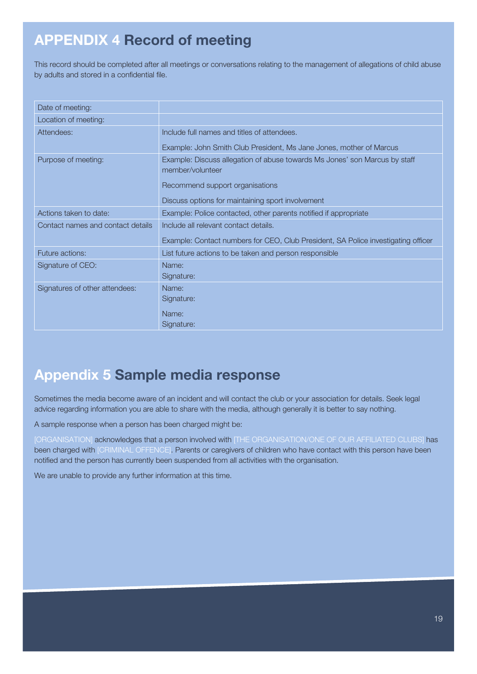# **APPENDIX 4 Record of meeting**

This record should be completed after all meetings or conversations relating to the management of allegations of child abuse by adults and stored in a confidential file.

| Date of meeting:                  |                                                                                                |
|-----------------------------------|------------------------------------------------------------------------------------------------|
| Location of meeting:              |                                                                                                |
| Attendees:                        | Include full names and titles of attendees.                                                    |
|                                   | Example: John Smith Club President, Ms Jane Jones, mother of Marcus                            |
| Purpose of meeting:               | Example: Discuss allegation of abuse towards Ms Jones' son Marcus by staff<br>member/volunteer |
|                                   | Recommend support organisations                                                                |
|                                   | Discuss options for maintaining sport involvement                                              |
| Actions taken to date:            | Example: Police contacted, other parents notified if appropriate                               |
| Contact names and contact details | Include all relevant contact details.                                                          |
|                                   | Example: Contact numbers for CEO, Club President, SA Police investigating officer              |
| Future actions:                   | List future actions to be taken and person responsible                                         |
| Signature of CEO:                 | Name:                                                                                          |
|                                   | Signature:                                                                                     |
| Signatures of other attendees:    | Name:                                                                                          |
|                                   | Signature:                                                                                     |
|                                   | Name:                                                                                          |
|                                   | Signature:                                                                                     |

# **Appendix 5 Sample media response**

Sometimes the media become aware of an incident and will contact the club or your association for details. Seek legal advice regarding information you are able to share with the media, although generally it is better to say nothing.

A sample response when a person has been charged might be:

[ORGANISATION] acknowledges that a person involved with [THE ORGANISATION/ONE OF OUR AFFILIATED CLUBS] has been charged with [CRIMINAL OFFENCE]. Parents or caregivers of children who have contact with this person have been notified and the person has currently been suspended from all activities with the organisation.

We are unable to provide any further information at this time.